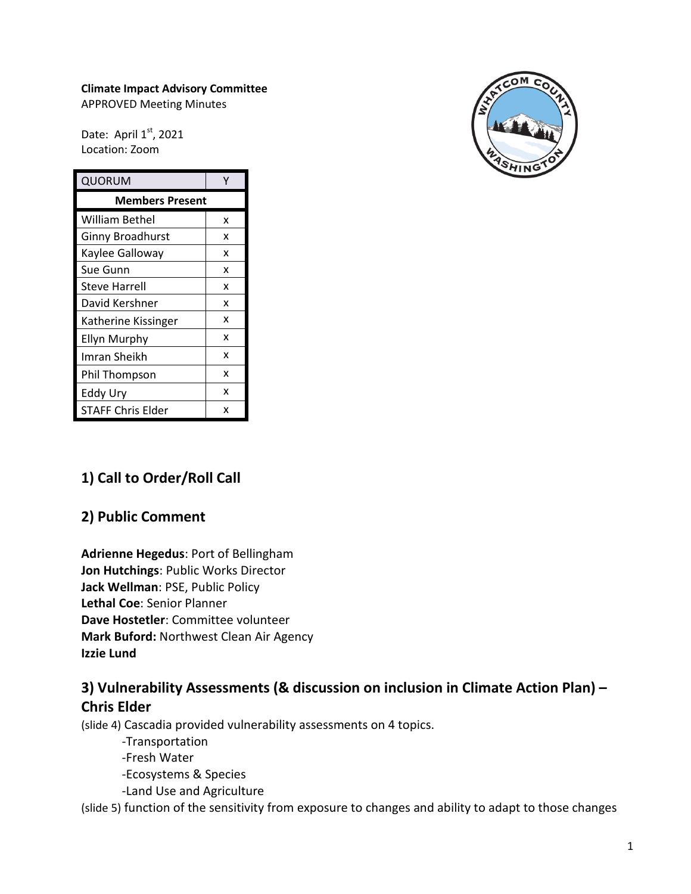## **Climate Impact Advisory Committee**

APPROVED Meeting Minutes

Date: April  $1<sup>st</sup>$ , 2021 Location: Zoom

| QUORUM                  |   |
|-------------------------|---|
| <b>Members Present</b>  |   |
| William Bethel          | x |
| <b>Ginny Broadhurst</b> | x |
| Kaylee Galloway         | x |
| Sue Gunn                | x |
| <b>Steve Harrell</b>    | x |
| David Kershner          | x |
| Katherine Kissinger     | x |
| Ellyn Murphy            | x |
| Imran Sheikh            | x |
| Phil Thompson           | x |
| Eddy Ury                | x |
| STAFF Chris Elder       | x |



# **1) Call to Order/Roll Call**

## **2) Public Comment**

**Adrienne Hegedus**: Port of Bellingham **Jon Hutchings**: Public Works Director **Jack Wellman**: PSE, Public Policy **Lethal Coe**: Senior Planner **Dave Hostetler**: Committee volunteer **Mark Buford:** Northwest Clean Air Agency **Izzie Lund**

# **3) Vulnerability Assessments (& discussion on inclusion in Climate Action Plan) – Chris Elder**

(slide 4) Cascadia provided vulnerability assessments on 4 topics.

-Transportation

-Fresh Water

-Ecosystems & Species

-Land Use and Agriculture

(slide 5) function of the sensitivity from exposure to changes and ability to adapt to those changes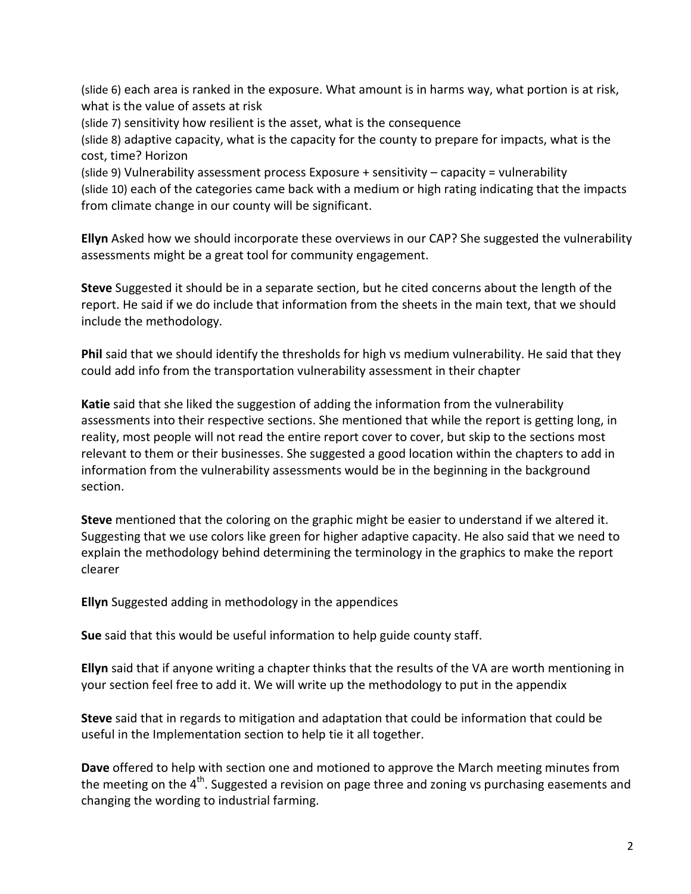(slide 6) each area is ranked in the exposure. What amount is in harms way, what portion is at risk, what is the value of assets at risk

(slide 7) sensitivity how resilient is the asset, what is the consequence

(slide 8) adaptive capacity, what is the capacity for the county to prepare for impacts, what is the cost, time? Horizon

(slide 9) Vulnerability assessment process Exposure + sensitivity – capacity = vulnerability (slide 10) each of the categories came back with a medium or high rating indicating that the impacts from climate change in our county will be significant.

**Ellyn** Asked how we should incorporate these overviews in our CAP? She suggested the vulnerability assessments might be a great tool for community engagement.

**Steve** Suggested it should be in a separate section, but he cited concerns about the length of the report. He said if we do include that information from the sheets in the main text, that we should include the methodology.

**Phil** said that we should identify the thresholds for high vs medium vulnerability. He said that they could add info from the transportation vulnerability assessment in their chapter

**Katie** said that she liked the suggestion of adding the information from the vulnerability assessments into their respective sections. She mentioned that while the report is getting long, in reality, most people will not read the entire report cover to cover, but skip to the sections most relevant to them or their businesses. She suggested a good location within the chapters to add in information from the vulnerability assessments would be in the beginning in the background section.

**Steve** mentioned that the coloring on the graphic might be easier to understand if we altered it. Suggesting that we use colors like green for higher adaptive capacity. He also said that we need to explain the methodology behind determining the terminology in the graphics to make the report clearer

**Ellyn** Suggested adding in methodology in the appendices

**Sue** said that this would be useful information to help guide county staff.

**Ellyn** said that if anyone writing a chapter thinks that the results of the VA are worth mentioning in your section feel free to add it. We will write up the methodology to put in the appendix

**Steve** said that in regards to mitigation and adaptation that could be information that could be useful in the Implementation section to help tie it all together.

**Dave** offered to help with section one and motioned to approve the March meeting minutes from the meeting on the  $4<sup>th</sup>$ . Suggested a revision on page three and zoning vs purchasing easements and changing the wording to industrial farming.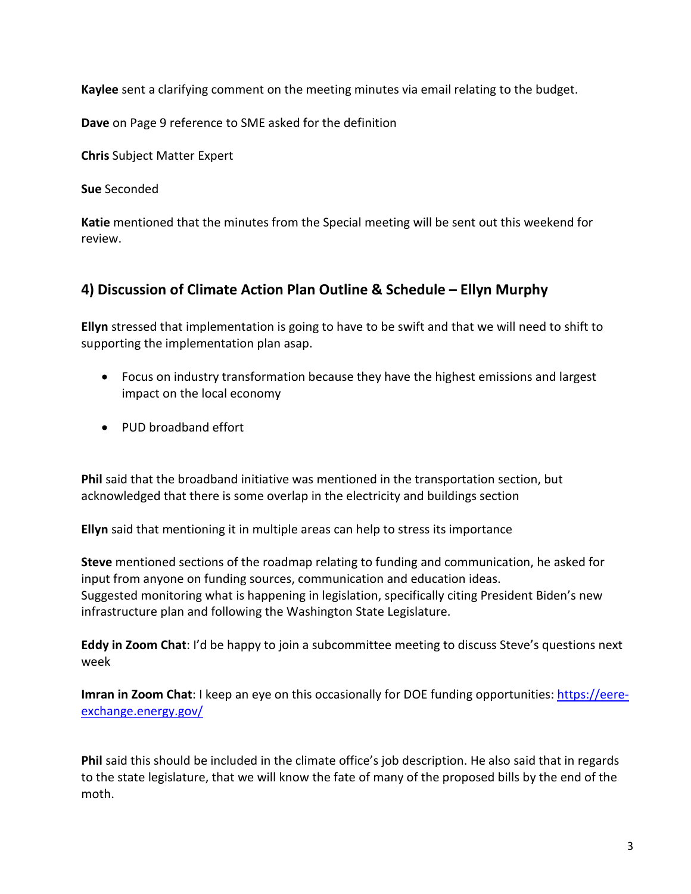**Kaylee** sent a clarifying comment on the meeting minutes via email relating to the budget.

**Dave** on Page 9 reference to SME asked for the definition

**Chris** Subject Matter Expert

**Sue** Seconded

**Katie** mentioned that the minutes from the Special meeting will be sent out this weekend for review.

# **4) Discussion of Climate Action Plan Outline & Schedule – Ellyn Murphy**

**Ellyn** stressed that implementation is going to have to be swift and that we will need to shift to supporting the implementation plan asap.

- Focus on industry transformation because they have the highest emissions and largest impact on the local economy
- PUD broadband effort

**Phil** said that the broadband initiative was mentioned in the transportation section, but acknowledged that there is some overlap in the electricity and buildings section

**Ellyn** said that mentioning it in multiple areas can help to stress its importance

**Steve** mentioned sections of the roadmap relating to funding and communication, he asked for input from anyone on funding sources, communication and education ideas. Suggested monitoring what is happening in legislation, specifically citing President Biden's new infrastructure plan and following the Washington State Legislature.

**Eddy in Zoom Chat**: I'd be happy to join a subcommittee meeting to discuss Steve's questions next week

**Imran in Zoom Chat**: I keep an eye on this occasionally for DOE funding opportunities: [https://eere](https://eere-exchange.energy.gov/)[exchange.energy.gov/](https://eere-exchange.energy.gov/)

**Phil** said this should be included in the climate office's job description. He also said that in regards to the state legislature, that we will know the fate of many of the proposed bills by the end of the moth.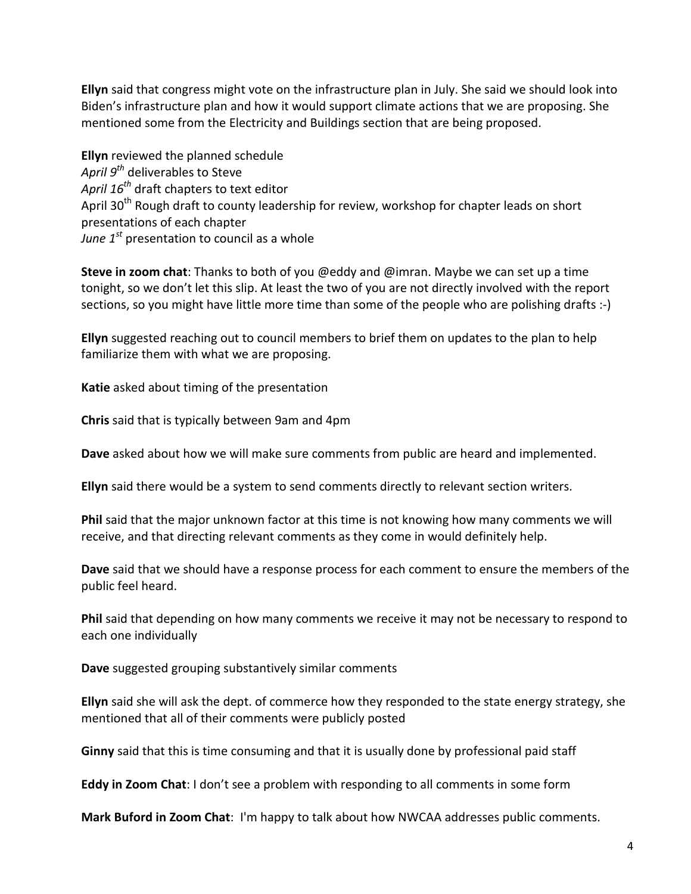**Ellyn** said that congress might vote on the infrastructure plan in July. She said we should look into Biden's infrastructure plan and how it would support climate actions that we are proposing. She mentioned some from the Electricity and Buildings section that are being proposed.

**Ellyn** reviewed the planned schedule *April 9th* deliverables to Steve *April 16th* draft chapters to text editor April 30<sup>th</sup> Rough draft to county leadership for review, workshop for chapter leads on short presentations of each chapter *June 1st* presentation to council as a whole

**Steve in zoom chat**: Thanks to both of you @eddy and @imran. Maybe we can set up a time tonight, so we don't let this slip. At least the two of you are not directly involved with the report sections, so you might have little more time than some of the people who are polishing drafts :-)

**Ellyn** suggested reaching out to council members to brief them on updates to the plan to help familiarize them with what we are proposing.

**Katie** asked about timing of the presentation

**Chris** said that is typically between 9am and 4pm

**Dave** asked about how we will make sure comments from public are heard and implemented.

**Ellyn** said there would be a system to send comments directly to relevant section writers.

**Phil** said that the major unknown factor at this time is not knowing how many comments we will receive, and that directing relevant comments as they come in would definitely help.

**Dave** said that we should have a response process for each comment to ensure the members of the public feel heard.

**Phil** said that depending on how many comments we receive it may not be necessary to respond to each one individually

**Dave** suggested grouping substantively similar comments

**Ellyn** said she will ask the dept. of commerce how they responded to the state energy strategy, she mentioned that all of their comments were publicly posted

**Ginny** said that this is time consuming and that it is usually done by professional paid staff

**Eddy in Zoom Chat**: I don't see a problem with responding to all comments in some form

**Mark Buford in Zoom Chat**: I'm happy to talk about how NWCAA addresses public comments.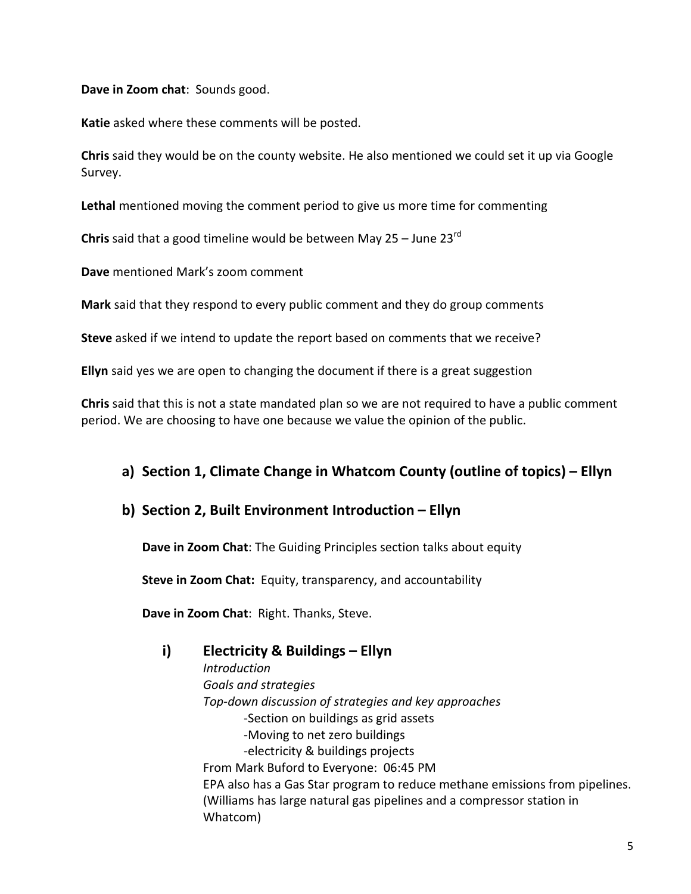**Dave in Zoom chat**: Sounds good.

**Katie** asked where these comments will be posted.

**Chris** said they would be on the county website. He also mentioned we could set it up via Google Survey.

**Lethal** mentioned moving the comment period to give us more time for commenting

**Chris** said that a good timeline would be between May 25 – June 23rd

**Dave** mentioned Mark's zoom comment

**Mark** said that they respond to every public comment and they do group comments

**Steve** asked if we intend to update the report based on comments that we receive?

**Ellyn** said yes we are open to changing the document if there is a great suggestion

**Chris** said that this is not a state mandated plan so we are not required to have a public comment period. We are choosing to have one because we value the opinion of the public.

## **a) Section 1, Climate Change in Whatcom County (outline of topics) – Ellyn**

## **b) Section 2, Built Environment Introduction – Ellyn**

**Dave in Zoom Chat**: The Guiding Principles section talks about equity

**Steve in Zoom Chat:** Equity, transparency, and accountability

**Dave in Zoom Chat**: Right. Thanks, Steve.

## **i) Electricity & Buildings – Ellyn**

*Introduction Goals and strategies Top-down discussion of strategies and key approaches* -Section on buildings as grid assets -Moving to net zero buildings -electricity & buildings projects From Mark Buford to Everyone: 06:45 PM EPA also has a Gas Star program to reduce methane emissions from pipelines. (Williams has large natural gas pipelines and a compressor station in Whatcom)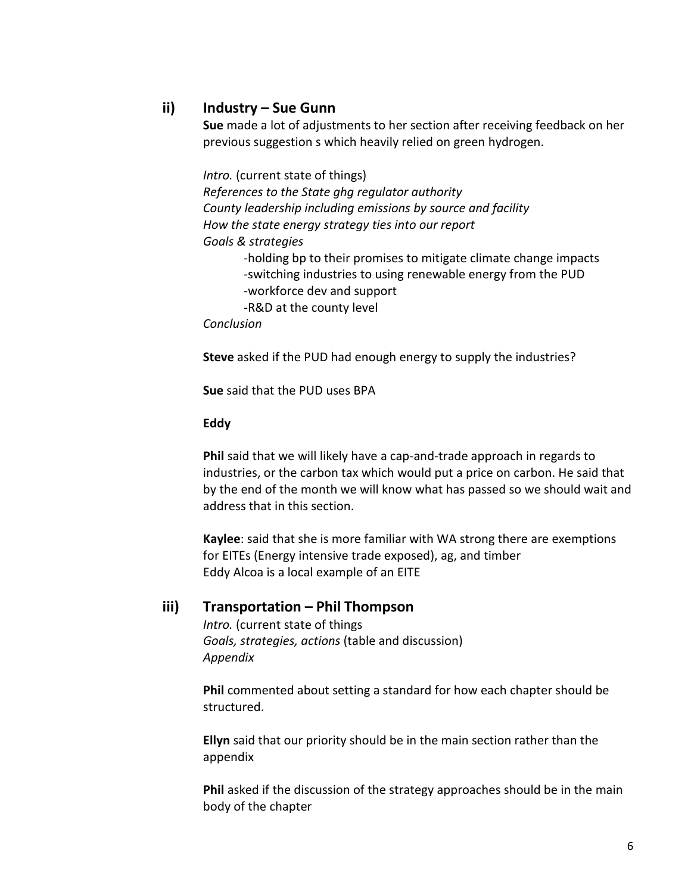## **ii) Industry – Sue Gunn**

**Sue** made a lot of adjustments to her section after receiving feedback on her previous suggestion s which heavily relied on green hydrogen.

*Intro.* (current state of things) *References to the State ghg regulator authority County leadership including emissions by source and facility How the state energy strategy ties into our report Goals & strategies* -holding bp to their promises to mitigate climate change impacts -switching industries to using renewable energy from the PUD -workforce dev and support -R&D at the county level *Conclusion*

**Steve** asked if the PUD had enough energy to supply the industries?

**Sue** said that the PUD uses BPA

#### **Eddy**

**Phil** said that we will likely have a cap-and-trade approach in regards to industries, or the carbon tax which would put a price on carbon. He said that by the end of the month we will know what has passed so we should wait and address that in this section.

**Kaylee**: said that she is more familiar with WA strong there are exemptions for EITEs (Energy intensive trade exposed), ag, and timber Eddy Alcoa is a local example of an EITE

#### **iii) Transportation – Phil Thompson**

*Intro.* (current state of things *Goals, strategies, actions* (table and discussion) *Appendix*

**Phil** commented about setting a standard for how each chapter should be structured.

**Ellyn** said that our priority should be in the main section rather than the appendix

**Phil** asked if the discussion of the strategy approaches should be in the main body of the chapter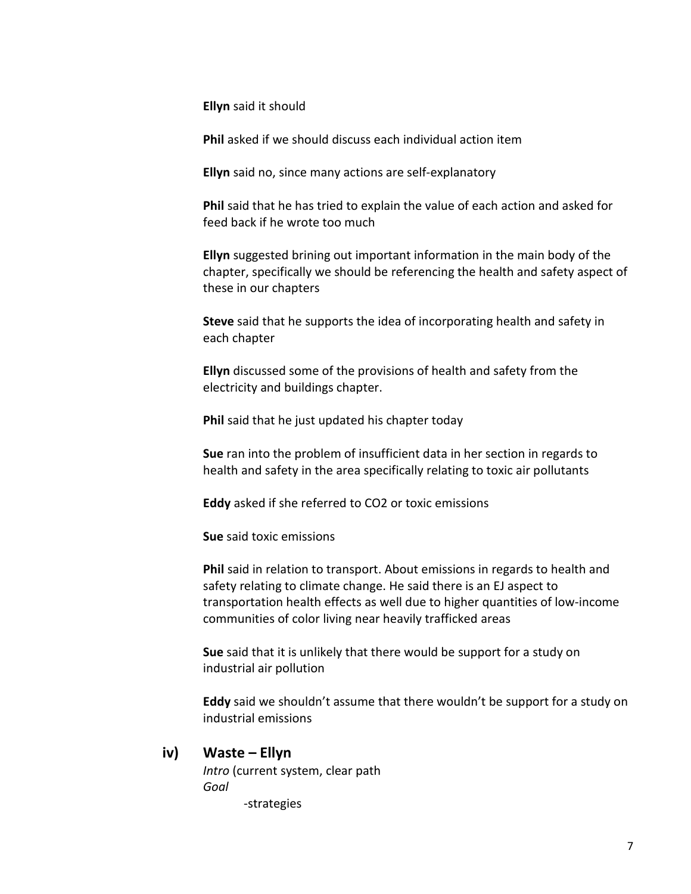**Ellyn** said it should

**Phil** asked if we should discuss each individual action item

**Ellyn** said no, since many actions are self-explanatory

**Phil** said that he has tried to explain the value of each action and asked for feed back if he wrote too much

**Ellyn** suggested brining out important information in the main body of the chapter, specifically we should be referencing the health and safety aspect of these in our chapters

**Steve** said that he supports the idea of incorporating health and safety in each chapter

**Ellyn** discussed some of the provisions of health and safety from the electricity and buildings chapter.

**Phil** said that he just updated his chapter today

**Sue** ran into the problem of insufficient data in her section in regards to health and safety in the area specifically relating to toxic air pollutants

**Eddy** asked if she referred to CO2 or toxic emissions

**Sue** said toxic emissions

**Phil** said in relation to transport. About emissions in regards to health and safety relating to climate change. He said there is an EJ aspect to transportation health effects as well due to higher quantities of low-income communities of color living near heavily trafficked areas

**Sue** said that it is unlikely that there would be support for a study on industrial air pollution

**Eddy** said we shouldn't assume that there wouldn't be support for a study on industrial emissions

#### **iv) Waste – Ellyn**

*Intro* (current system, clear path *Goal* -strategies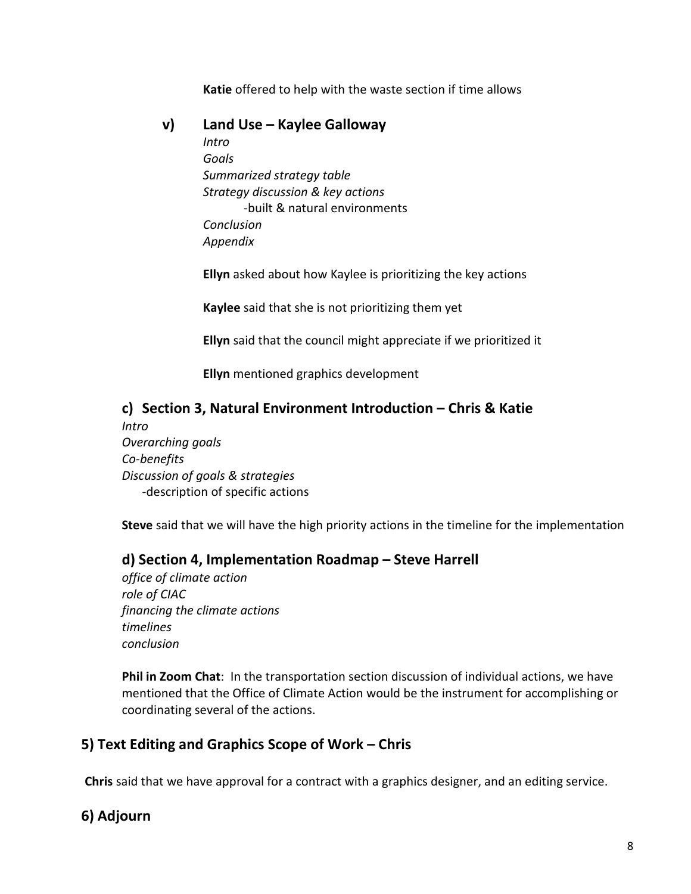**Katie** offered to help with the waste section if time allows

## **v) Land Use – Kaylee Galloway**

*Intro Goals Summarized strategy table Strategy discussion & key actions* -built & natural environments *Conclusion Appendix*

**Ellyn** asked about how Kaylee is prioritizing the key actions

**Kaylee** said that she is not prioritizing them yet

**Ellyn** said that the council might appreciate if we prioritized it

**Ellyn** mentioned graphics development

# **c) Section 3, Natural Environment Introduction – Chris & Katie**

*Intro Overarching goals Co-benefits Discussion of goals & strategies* -description of specific actions

**Steve** said that we will have the high priority actions in the timeline for the implementation

## **d) Section 4, Implementation Roadmap – Steve Harrell**

*office of climate action role of CIAC financing the climate actions timelines conclusion*

**Phil in Zoom Chat**: In the transportation section discussion of individual actions, we have mentioned that the Office of Climate Action would be the instrument for accomplishing or coordinating several of the actions.

## **5) Text Editing and Graphics Scope of Work – Chris**

**Chris** said that we have approval for a contract with a graphics designer, and an editing service.

## **6) Adjourn**